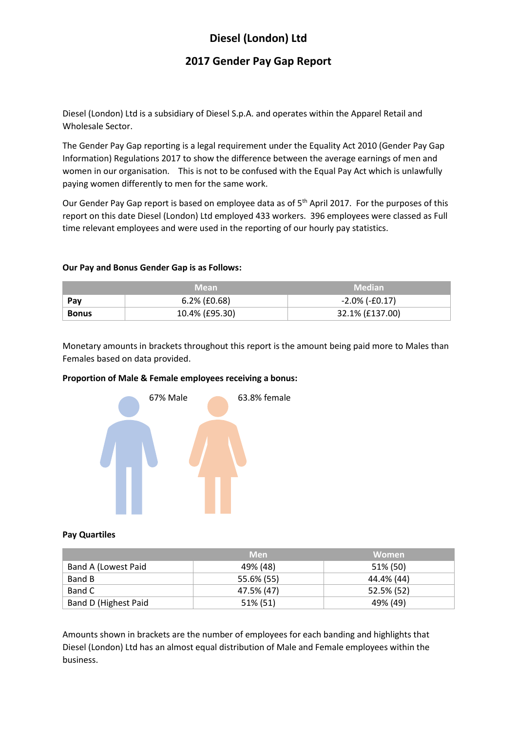# **Diesel (London) Ltd**

# **2017 Gender Pay Gap Report**

Diesel (London) Ltd is a subsidiary of Diesel S.p.A. and operates within the Apparel Retail and Wholesale Sector.

The Gender Pay Gap reporting is a legal requirement under the Equality Act 2010 (Gender Pay Gap Information) Regulations 2017 to show the difference between the average earnings of men and women in our organisation. This is not to be confused with the Equal Pay Act which is unlawfully paying women differently to men for the same work.

Our Gender Pay Gap report is based on employee data as of 5<sup>th</sup> April 2017. For the purposes of this report on this date Diesel (London) Ltd employed 433 workers. 396 employees were classed as Full time relevant employees and were used in the reporting of our hourly pay statistics.

#### **Our Pay and Bonus Gender Gap is as Follows:**

|              | Mean            | <b>Median</b>        |
|--------------|-----------------|----------------------|
| Pav          | $6.2\%$ (£0.68) | $-2.0\%$ ( $-6.17$ ) |
| <b>Bonus</b> | 10.4% (£95.30)  | 32.1% (£137.00)      |

Monetary amounts in brackets throughout this report is the amount being paid more to Males than Females based on data provided.

## **Proportion of Male & Female employees receiving a bonus:**



#### **Pay Quartiles**

|                      | <b>Men</b> | <b>Women</b> |
|----------------------|------------|--------------|
| Band A (Lowest Paid  | 49% (48)   | 51% (50)     |
| Band B               | 55.6% (55) | 44.4% (44)   |
| Band C               | 47.5% (47) | 52.5% (52)   |
| Band D (Highest Paid | 51% (51)   | 49% (49)     |

Amounts shown in brackets are the number of employees for each banding and highlights that Diesel (London) Ltd has an almost equal distribution of Male and Female employees within the business.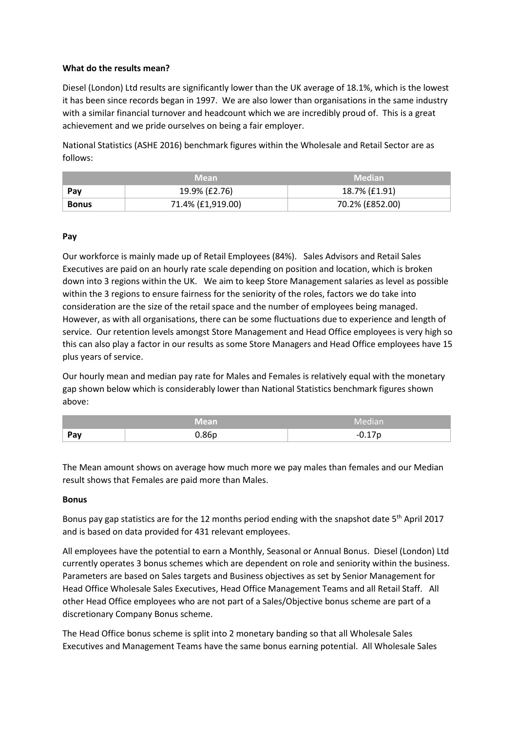## **What do the results mean?**

Diesel (London) Ltd results are significantly lower than the UK average of 18.1%, which is the lowest it has been since records began in 1997. We are also lower than organisations in the same industry with a similar financial turnover and headcount which we are incredibly proud of. This is a great achievement and we pride ourselves on being a fair employer.

National Statistics (ASHE 2016) benchmark figures within the Wholesale and Retail Sector are as follows:

|              | <b>Mean</b>       | <b>Median</b>   |
|--------------|-------------------|-----------------|
| Pav          | 19.9% (£2.76)     | 18.7% (£1.91)   |
| <b>Bonus</b> | 71.4% (£1,919.00) | 70.2% (£852.00) |

## **Pay**

Our workforce is mainly made up of Retail Employees (84%). Sales Advisors and Retail Sales Executives are paid on an hourly rate scale depending on position and location, which is broken down into 3 regions within the UK. We aim to keep Store Management salaries as level as possible within the 3 regions to ensure fairness for the seniority of the roles, factors we do take into consideration are the size of the retail space and the number of employees being managed. However, as with all organisations, there can be some fluctuations due to experience and length of service. Our retention levels amongst Store Management and Head Office employees is very high so this can also play a factor in our results as some Store Managers and Head Office employees have 15 plus years of service.

Our hourly mean and median pay rate for Males and Females is relatively equal with the monetary gap shown below which is considerably lower than National Statistics benchmark figures shown above:

|     | Mean              | Median            |
|-----|-------------------|-------------------|
| Pav | 0.86 <sub>p</sub> | በ 17n<br>$-U.L/L$ |

The Mean amount shows on average how much more we pay males than females and our Median result shows that Females are paid more than Males.

#### **Bonus**

Bonus pay gap statistics are for the 12 months period ending with the snapshot date 5<sup>th</sup> April 2017 and is based on data provided for 431 relevant employees.

All employees have the potential to earn a Monthly, Seasonal or Annual Bonus. Diesel (London) Ltd currently operates 3 bonus schemes which are dependent on role and seniority within the business. Parameters are based on Sales targets and Business objectives as set by Senior Management for Head Office Wholesale Sales Executives, Head Office Management Teams and all Retail Staff. All other Head Office employees who are not part of a Sales/Objective bonus scheme are part of a discretionary Company Bonus scheme.

The Head Office bonus scheme is split into 2 monetary banding so that all Wholesale Sales Executives and Management Teams have the same bonus earning potential. All Wholesale Sales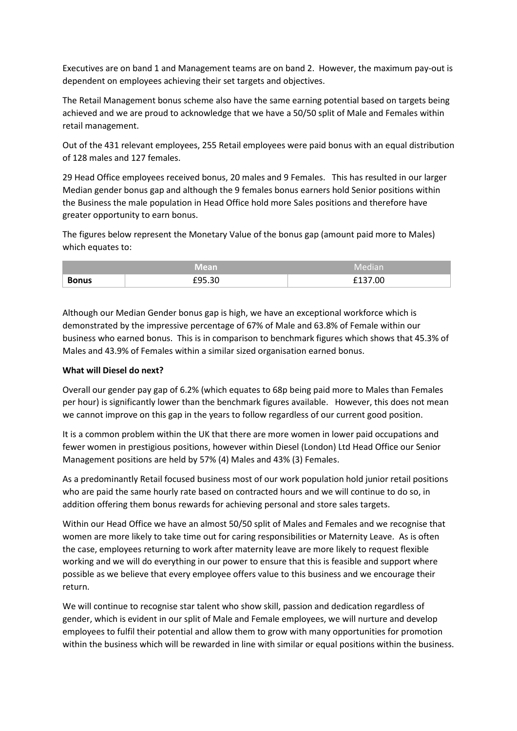Executives are on band 1 and Management teams are on band 2. However, the maximum pay-out is dependent on employees achieving their set targets and objectives.

The Retail Management bonus scheme also have the same earning potential based on targets being achieved and we are proud to acknowledge that we have a 50/50 split of Male and Females within retail management.

Out of the 431 relevant employees, 255 Retail employees were paid bonus with an equal distribution of 128 males and 127 females.

29 Head Office employees received bonus, 20 males and 9 Females. This has resulted in our larger Median gender bonus gap and although the 9 females bonus earners hold Senior positions within the Business the male population in Head Office hold more Sales positions and therefore have greater opportunity to earn bonus.

The figures below represent the Monetary Value of the bonus gap (amount paid more to Males) which equates to:

|              | Mean             | Median  |
|--------------|------------------|---------|
| <b>Bonus</b> | FQ5 2N<br>£Y5.30 | £137.00 |

Although our Median Gender bonus gap is high, we have an exceptional workforce which is demonstrated by the impressive percentage of 67% of Male and 63.8% of Female within our business who earned bonus. This is in comparison to benchmark figures which shows that 45.3% of Males and 43.9% of Females within a similar sized organisation earned bonus.

#### **What will Diesel do next?**

Overall our gender pay gap of 6.2% (which equates to 68p being paid more to Males than Females per hour) is significantly lower than the benchmark figures available. However, this does not mean we cannot improve on this gap in the years to follow regardless of our current good position.

It is a common problem within the UK that there are more women in lower paid occupations and fewer women in prestigious positions, however within Diesel (London) Ltd Head Office our Senior Management positions are held by 57% (4) Males and 43% (3) Females.

As a predominantly Retail focused business most of our work population hold junior retail positions who are paid the same hourly rate based on contracted hours and we will continue to do so, in addition offering them bonus rewards for achieving personal and store sales targets.

Within our Head Office we have an almost 50/50 split of Males and Females and we recognise that women are more likely to take time out for caring responsibilities or Maternity Leave. As is often the case, employees returning to work after maternity leave are more likely to request flexible working and we will do everything in our power to ensure that this is feasible and support where possible as we believe that every employee offers value to this business and we encourage their return.

We will continue to recognise star talent who show skill, passion and dedication regardless of gender, which is evident in our split of Male and Female employees, we will nurture and develop employees to fulfil their potential and allow them to grow with many opportunities for promotion within the business which will be rewarded in line with similar or equal positions within the business.